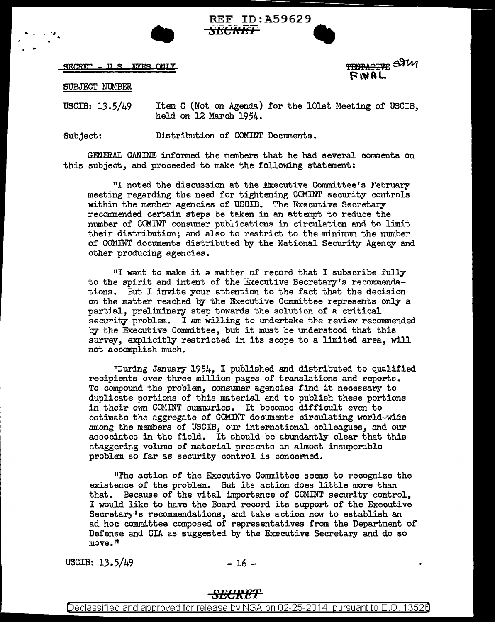

REF ID:A59629 **S£CRET** •

SECRET = ILS EYES ONLY

TENTATIVE STUI FINAL

SUBJECT NUMBER

. .

USGIB: 13.5/49 Item C (Not on Agenda) for the lOlst Meeting of USCIB, held on 12 March 1954.

Subject: Distribution of COMINT Documents.

GENERAL CANINE informed the members that he had several comments on this subject, and proceeded to make the following statement:

"I noted the discussion at the Executive Conunittee's February meeting regarding the need for tightening COMINT security controls within the member agencies of USCIB. The Executive Secretary recommended certain steps be taken in an attempt to reduce the number of COMINT consumer publications in circulation and to limit their distribution; and also to restrict to the minimum the number of Cm1INT documents distributed by the National Security Agency and other producing agencies.

"I want to make it a matter of record that I subscribe fully to the spirit and intent of the Executive Secretary's recommendations. But I invite your attention to the fact that the decision on the matter reached by the Executive Conunittee represents only a partial, preliminary step towards the solution of a critical security problem. I am willing to undertake the review recommended by the Executive Committee, but it must be understood that this survey, explicitly restricted in its scope to a limited area, will not accomplish much.

"During January 1954, I published and distributed to qualified recipients over three million pages of translations and reports. To compound the problem, consumer agencies find it necessary to duplicate portions of this material and to publish these portions in their own COMINT summaries. It becomes difficult even to estimate the aggregate of COMINT documents circulating world-wide among the members of USCIB, our international colleagues, and our associates in the field. It should be abundantly clear that this staggering volume of material presents an almost insuperable problem so far as security control is concerned.

<sup>11</sup>The action of the Executive Committee seems to recognize the existence of the problem. But its action does little more than that. Because of the vital importance of COMINT security control, I would like to have the Board record its support of the Executive Secretary's recommendations, and take action now to establish an ad hoc committee composed of representatives from the Department of Defense and CIA as suggested by the Executive Secretary- and do so move. <sup>11</sup>

USCIB:  $13.5/49$   $- 16$   $- 16$ 

## *SECRET*

Declassified and approved for release by NSA on 02-25-2014 pursuant to E.O. 13526